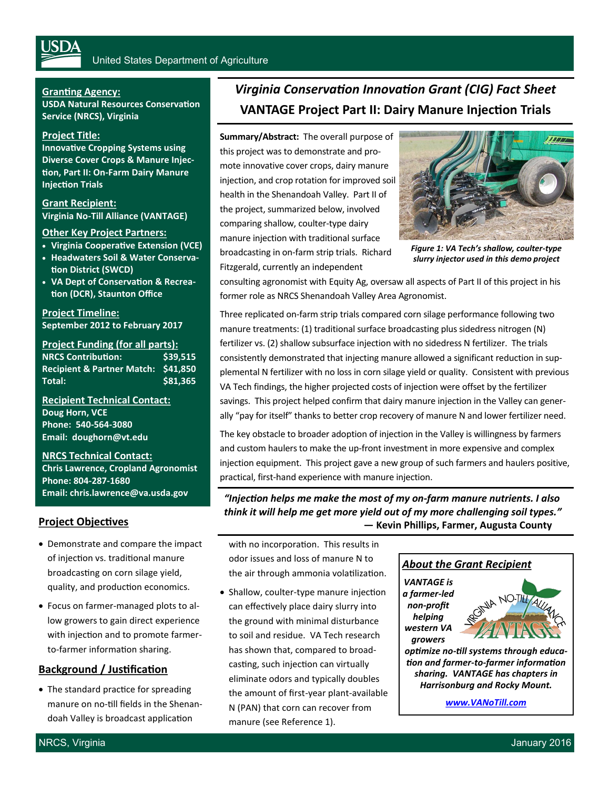

# United States Department of Agriculture

### **Granting Agency:**

**USDA Natural Resources Conservation Service (NRCS), Virginia**

### **Project Title:**

**Innovative Cropping Systems using Diverse Cover Crops & Manure Injection, Part II: On-Farm Dairy Manure Injection Trials**

### **Grant Recipient: Virginia No-Till Alliance (VANTAGE)**

#### **Other Key Project Partners:**

- **Virginia Cooperative Extension (VCE)**
- **Headwaters Soil & Water Conservation District (SWCD)**
- **VA Dept of Conservation & Recreation (DCR), Staunton Office**

### **Project Timeline: September 2012 to February 2017**

**Project Funding (for all parts): NRCS Contribution: \$39,515 Recipient & Partner Match: \$41,850 Total: \$81,365**

**Recipient Technical Contact: Doug Horn, VCE Phone: 540-564-3080 Email: doughorn@vt.edu**

**NRCS Technical Contact: Chris Lawrence, Cropland Agronomist Phone: 804-287-1680**

### **Project Objectives**

- Demonstrate and compare the impact of injection vs. traditional manure broadcasting on corn silage yield, quality, and production economics.
- Focus on farmer-managed plots to allow growers to gain direct experience with injection and to promote farmerto-farmer information sharing.

### **Background / Justification**

• The standard practice for spreading manure on no-till fields in the Shenandoah Valley is broadcast application

# *Virginia Conservation Innovation Grant (CIG) Fact Sheet*  **VANTAGE Project Part II: Dairy Manure Injection Trials**

**Summary/Abstract:** The overall purpose of this project was to demonstrate and promote innovative cover crops, dairy manure injection, and crop rotation for improved soil health in the Shenandoah Valley. Part II of the project, summarized below, involved comparing shallow, coulter-type dairy manure injection with traditional surface broadcasting in on-farm strip trials. Richard Fitzgerald, currently an independent



*Figure 1: VA Tech's shallow, coulter-type slurry injector used in this demo project*

consulting agronomist with Equity Ag, oversaw all aspects of Part II of this project in his former role as NRCS Shenandoah Valley Area Agronomist.

Three replicated on-farm strip trials compared corn silage performance following two manure treatments: (1) traditional surface broadcasting plus sidedress nitrogen (N) fertilizer vs. (2) shallow subsurface injection with no sidedress N fertilizer. The trials consistently demonstrated that injecting manure allowed a significant reduction in supplemental N fertilizer with no loss in corn silage yield or quality. Consistent with previous VA Tech findings, the higher projected costs of injection were offset by the fertilizer savings. This project helped confirm that dairy manure injection in the Valley can generally "pay for itself" thanks to better crop recovery of manure N and lower fertilizer need.

The key obstacle to broader adoption of injection in the Valley is willingness by farmers and custom haulers to make the up-front investment in more expensive and complex injection equipment. This project gave a new group of such farmers and haulers positive, practical, first-hand experience with manure injection.

**Email: chris.lawrence@va.usda.gov** *"Injection helps me make the most of my on-farm manure nutrients. I also think it will help me get more yield out of my more challenging soil types."* **— Kevin Phillips, Farmer, Augusta County**

> with no incorporation. This results in odor issues and loss of manure N to the air through ammonia volatilization.

• Shallow, coulter-type manure injection can effectively place dairy slurry into the ground with minimal disturbance to soil and residue. VA Tech research has shown that, compared to broadcasting, such injection can virtually eliminate odors and typically doubles the amount of first-year plant-available N (PAN) that corn can recover from manure (see Reference 1).

## *About the Grant Recipient VANTAGE is a farmer-led non-profit helping western VA growers optimize no-till systems through education and farmer-to-farmer information sharing. VANTAGE has chapters in*

*Harrisonburg and Rocky Mount.*

*[www.VANoTill.com](http://www.VANotill.com)*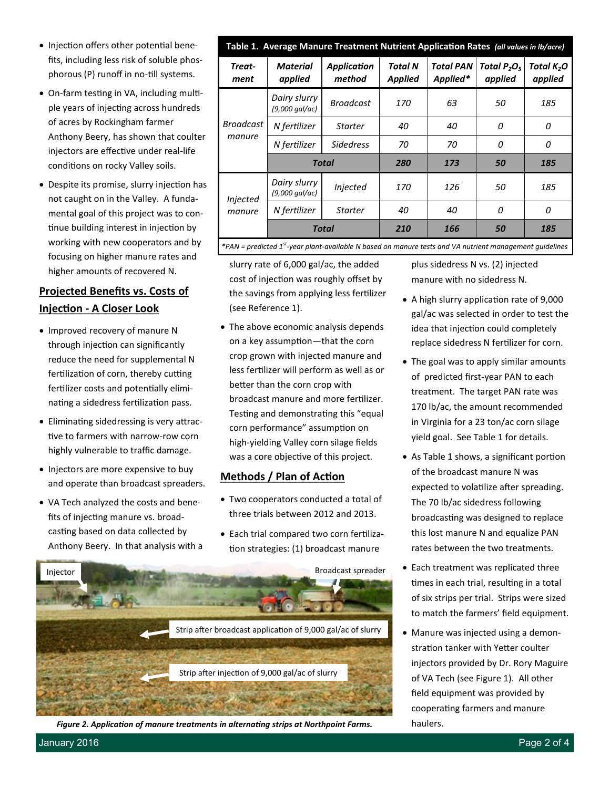- Injection offers other potential benefits, including less risk of soluble phosphorous (P) runoff in no-till systems.
- On-farm testing in VA, including multiple years of injecting across hundreds of acres by Rockingham farmer Anthony Beery, has shown that coulter injectors are effective under real-life conditions on rocky Valley soils.
- Despite its promise, slurry injection has not caught on in the Valley. A fundamental goal of this project was to continue building interest in injection by working with new cooperators and by focusing on higher manure rates and higher amounts of recovered N.

# **Projected Benefits vs. Costs of Injection - A Closer Look**

- Improved recovery of manure N through injection can significantly reduce the need for supplemental N fertilization of corn, thereby cutting fertilizer costs and potentially eliminating a sidedress fertilization pass.
- Eliminating sidedressing is very attractive to farmers with narrow-row corn highly vulnerable to traffic damage.
- Injectors are more expensive to buy and operate than broadcast spreaders.
- VA Tech analyzed the costs and benefits of injecting manure vs. broadcasting based on data collected by Anthony Beery. In that analysis with a

| Table 1. Average Manure Treatment Nutrient Application Rates (all values in Ib/acre)          |                                |                              |                                  |                              |                           |                                   |
|-----------------------------------------------------------------------------------------------|--------------------------------|------------------------------|----------------------------------|------------------------------|---------------------------|-----------------------------------|
| Treat-<br>ment                                                                                | <b>Material</b><br>applied     | <b>Application</b><br>method | <b>Total N</b><br><b>Applied</b> | <b>Total PAN</b><br>Applied* | Total $P_2O_5$<br>applied | Total K <sub>2</sub> O<br>applied |
| Broadcast<br>manure                                                                           | Dairy slurry<br>(9,000 gal/ac) | <b>Broadcast</b>             | 170                              | 63                           | 50                        | 185                               |
|                                                                                               | N fertilizer                   | Starter                      | 40                               | 40                           | 0                         | 0                                 |
|                                                                                               | N fertilizer                   | Sidedress                    | 70                               | 70                           | 0                         | 0                                 |
|                                                                                               | Total                          |                              | 280                              | 173                          | 50                        | 185                               |
| <i>Injected</i><br>manure                                                                     | Dairy slurry<br>(9,000 gal/ac) | <b>Injected</b>              | 170                              | 126                          | 50                        | 185                               |
|                                                                                               | N fertilizer                   | Starter                      | 40                               | 40                           | 0                         | 0                                 |
|                                                                                               | Total                          |                              | 210                              | 166                          | 50                        | 185                               |
| $\cdots$ $\cdots$<br>$\frac{1}{2}$ and $\frac{1}{2}$ and $\frac{1}{2}$ and $\frac{1}{2}$<br>. |                                |                              |                                  |                              |                           |                                   |

*\*PAN = predicted 1st -year plant-available N based on manure tests and VA nutrient management guidelines*

slurry rate of 6,000 gal/ac, the added cost of injection was roughly offset by the savings from applying less fertilizer (see Reference 1).

• The above economic analysis depends on a key assumption—that the corn crop grown with injected manure and less fertilizer will perform as well as or better than the corn crop with broadcast manure and more fertilizer. Testing and demonstrating this "equal corn performance" assumption on high-yielding Valley corn silage fields was a core objective of this project.

# **Methods / Plan of Action**

- Two cooperators conducted a total of three trials between 2012 and 2013.
- Each trial compared two corn fertilization strategies: (1) broadcast manure



*Figure 2. Application of manure treatments in alternating strips at Northpoint Farms.*

plus sidedress N vs. (2) injected manure with no sidedress N.

- A high slurry application rate of 9,000 gal/ac was selected in order to test the idea that injection could completely replace sidedress N fertilizer for corn.
- The goal was to apply similar amounts of predicted first-year PAN to each treatment. The target PAN rate was 170 lb/ac, the amount recommended in Virginia for a 23 ton/ac corn silage yield goal. See Table 1 for details.
- As Table 1 shows, a significant portion of the broadcast manure N was expected to volatilize after spreading. The 70 lb/ac sidedress following broadcasting was designed to replace this lost manure N and equalize PAN rates between the two treatments.
- Each treatment was replicated three times in each trial, resulting in a total of six strips per trial. Strips were sized to match the farmers' field equipment.
- Manure was injected using a demonstration tanker with Yetter coulter injectors provided by Dr. Rory Maguire of VA Tech (see Figure 1). All other field equipment was provided by cooperating farmers and manure haulers.

January 2016 Page 2 of 4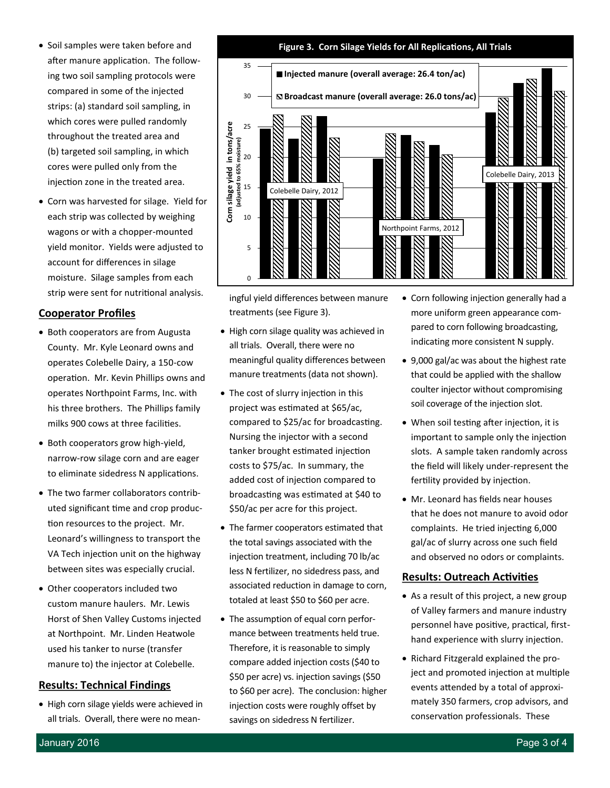- Soil samples were taken before and after manure application. The following two soil sampling protocols were compared in some of the injected strips: (a) standard soil sampling, in which cores were pulled randomly throughout the treated area and (b) targeted soil sampling, in which cores were pulled only from the injection zone in the treated area.
- Corn was harvested for silage. Yield for each strip was collected by weighing wagons or with a chopper-mounted yield monitor. Yields were adjusted to account for differences in silage moisture. Silage samples from each strip were sent for nutritional analysis.

### **Cooperator Profiles**

- Both cooperators are from Augusta County. Mr. Kyle Leonard owns and operates Colebelle Dairy, a 150-cow operation. Mr. Kevin Phillips owns and operates Northpoint Farms, Inc. with his three brothers. The Phillips family milks 900 cows at three facilities.
- Both cooperators grow high-yield, narrow-row silage corn and are eager to eliminate sidedress N applications.
- The two farmer collaborators contributed significant time and crop production resources to the project. Mr. Leonard's willingness to transport the VA Tech injection unit on the highway between sites was especially crucial.
- Other cooperators included two custom manure haulers. Mr. Lewis Horst of Shen Valley Customs injected at Northpoint. Mr. Linden Heatwole used his tanker to nurse (transfer manure to) the injector at Colebelle.

# **Results: Technical Findings**

• High corn silage yields were achieved in all trials. Overall, there were no mean-



ingful yield differences between manure treatments (see Figure 3).

- High corn silage quality was achieved in all trials. Overall, there were no meaningful quality differences between manure treatments (data not shown).
- The cost of slurry injection in this project was estimated at \$65/ac, compared to \$25/ac for broadcasting. Nursing the injector with a second tanker brought estimated injection costs to \$75/ac. In summary, the added cost of injection compared to broadcasting was estimated at \$40 to \$50/ac per acre for this project.
- The farmer cooperators estimated that the total savings associated with the injection treatment, including 70 lb/ac less N fertilizer, no sidedress pass, and associated reduction in damage to corn, totaled at least \$50 to \$60 per acre.
- The assumption of equal corn performance between treatments held true. Therefore, it is reasonable to simply compare added injection costs (\$40 to \$50 per acre) vs. injection savings (\$50 to \$60 per acre). The conclusion: higher injection costs were roughly offset by savings on sidedress N fertilizer.
- Corn following injection generally had a more uniform green appearance compared to corn following broadcasting, indicating more consistent N supply.
- 9,000 gal/ac was about the highest rate that could be applied with the shallow coulter injector without compromising soil coverage of the injection slot.
- When soil testing after injection, it is important to sample only the injection slots. A sample taken randomly across the field will likely under-represent the fertility provided by injection.
- Mr. Leonard has fields near houses that he does not manure to avoid odor complaints. He tried injecting 6,000 gal/ac of slurry across one such field and observed no odors or complaints.

### **Results: Outreach Activities**

- As a result of this project, a new group of Valley farmers and manure industry personnel have positive, practical, firsthand experience with slurry injection.
- Richard Fitzgerald explained the project and promoted injection at multiple events attended by a total of approximately 350 farmers, crop advisors, and conservation professionals. These